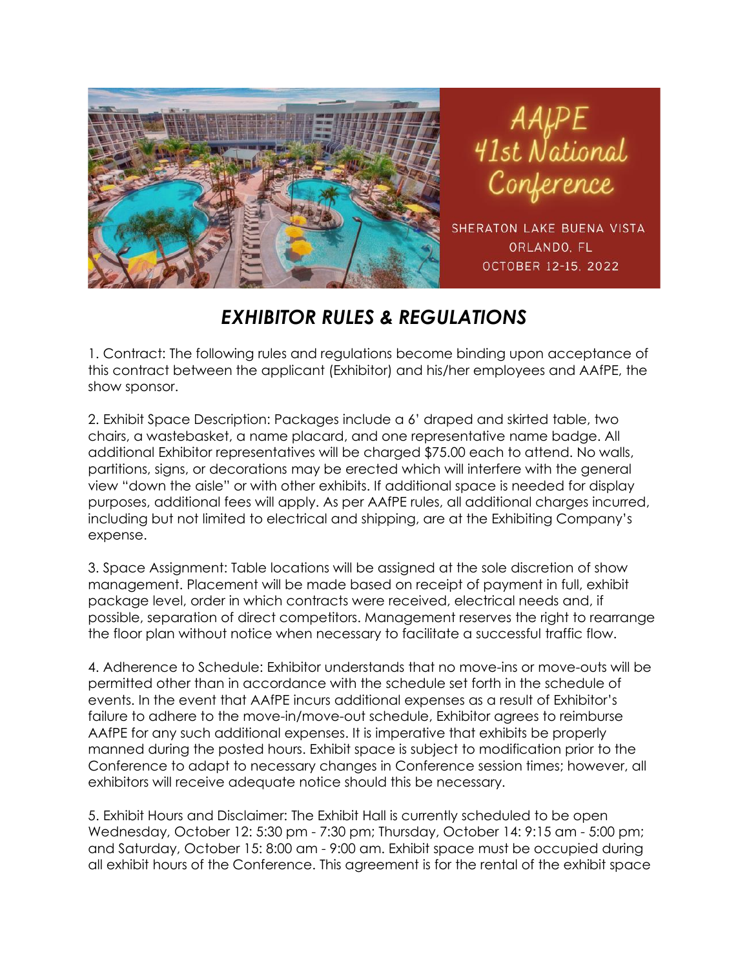

AAfPE<br>41st National

SHERATON LAKE BUENA VISTA ORLANDO, FL OCTOBER 12-15, 2022

## *EXHIBITOR RULES & REGULATIONS*

1. Contract: The following rules and regulations become binding upon acceptance of this contract between the applicant (Exhibitor) and his/her employees and AAfPE, the show sponsor.

2. Exhibit Space Description: Packages include a 6' draped and skirted table, two chairs, a wastebasket, a name placard, and one representative name badge. All additional Exhibitor representatives will be charged \$75.00 each to attend. No walls, partitions, signs, or decorations may be erected which will interfere with the general view "down the aisle" or with other exhibits. If additional space is needed for display purposes, additional fees will apply. As per AAfPE rules, all additional charges incurred, including but not limited to electrical and shipping, are at the Exhibiting Company's expense.

3. Space Assignment: Table locations will be assigned at the sole discretion of show management. Placement will be made based on receipt of payment in full, exhibit package level, order in which contracts were received, electrical needs and, if possible, separation of direct competitors. Management reserves the right to rearrange the floor plan without notice when necessary to facilitate a successful traffic flow.

4. Adherence to Schedule: Exhibitor understands that no move-ins or move-outs will be permitted other than in accordance with the schedule set forth in the schedule of events. In the event that AAfPE incurs additional expenses as a result of Exhibitor's failure to adhere to the move-in/move-out schedule, Exhibitor agrees to reimburse AAfPE for any such additional expenses. It is imperative that exhibits be properly manned during the posted hours. Exhibit space is subject to modification prior to the Conference to adapt to necessary changes in Conference session times; however, all exhibitors will receive adequate notice should this be necessary.

5. Exhibit Hours and Disclaimer: The Exhibit Hall is currently scheduled to be open Wednesday, October 12: 5:30 pm - 7:30 pm; Thursday, October 14: 9:15 am - 5:00 pm; and Saturday, October 15: 8:00 am - 9:00 am. Exhibit space must be occupied during all exhibit hours of the Conference. This agreement is for the rental of the exhibit space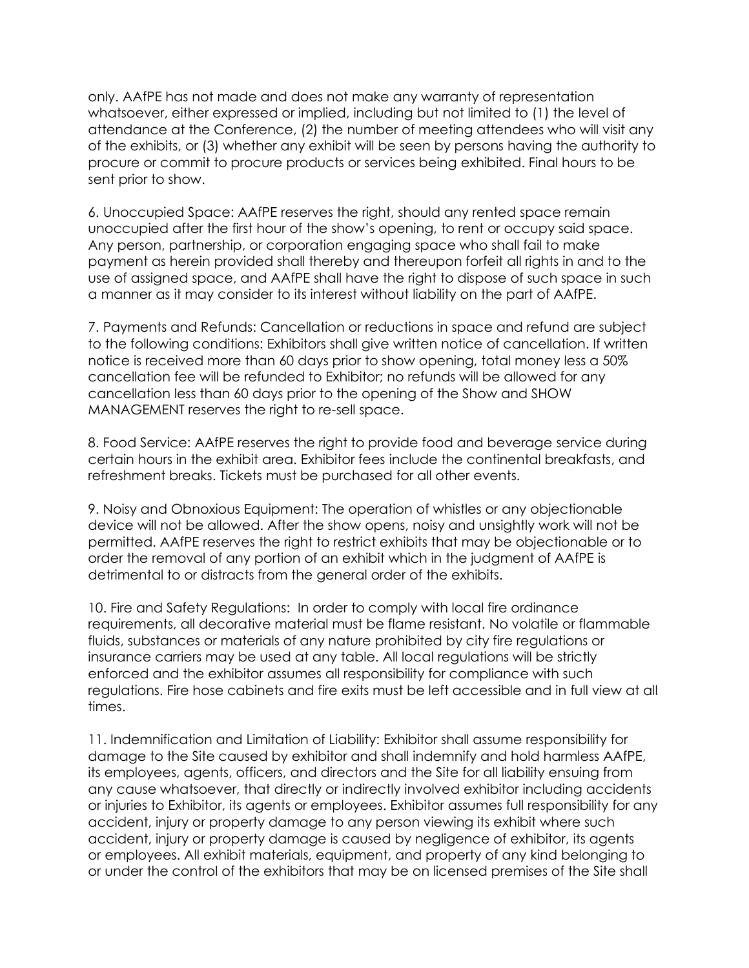only. AAfPE has not made and does not make any warranty of representation whatsoever, either expressed or implied, including but not limited to (1) the level of attendance at the Conference, (2) the number of meeting attendees who will visit any of the exhibits, or (3) whether any exhibit will be seen by persons having the authority to procure or commit to procure products or services being exhibited. Final hours to be sent prior to show.

6. Unoccupied Space: AAfPE reserves the right, should any rented space remain unoccupied after the first hour of the show's opening, to rent or occupy said space. Any person, partnership, or corporation engaging space who shall fail to make payment as herein provided shall thereby and thereupon forfeit all rights in and to the use of assigned space, and AAfPE shall have the right to dispose of such space in such a manner as it may consider to its interest without liability on the part of AAfPE.

7. Payments and Refunds: Cancellation or reductions in space and refund are subject to the following conditions: Exhibitors shall give written notice of cancellation. If written notice is received more than 60 days prior to show opening, total money less a 50% cancellation fee will be refunded to Exhibitor; no refunds will be allowed for any cancellation less than 60 days prior to the opening of the Show and SHOW MANAGEMENT reserves the right to re-sell space.

8. Food Service: AAfPE reserves the right to provide food and beverage service during certain hours in the exhibit area. Exhibitor fees include the continental breakfasts, and refreshment breaks. Tickets must be purchased for all other events.

9. Noisy and Obnoxious Equipment: The operation of whistles or any objectionable device will not be allowed. After the show opens, noisy and unsightly work will not be permitted. AAfPE reserves the right to restrict exhibits that may be objectionable or to order the removal of any portion of an exhibit which in the judgment of AAfPE is detrimental to or distracts from the general order of the exhibits.

10. Fire and Safety Regulations: In order to comply with local fire ordinance requirements, all decorative material must be flame resistant. No volatile or flammable fluids, substances or materials of any nature prohibited by city fire regulations or insurance carriers may be used at any table. All local regulations will be strictly enforced and the exhibitor assumes all responsibility for compliance with such regulations. Fire hose cabinets and fire exits must be left accessible and in full view at all times.

11. Indemnification and Limitation of Liability: Exhibitor shall assume responsibility for damage to the Site caused by exhibitor and shall indemnify and hold harmless AAfPE, its employees, agents, officers, and directors and the Site for all liability ensuing from any cause whatsoever, that directly or indirectly involved exhibitor including accidents or injuries to Exhibitor, its agents or employees. Exhibitor assumes full responsibility for any accident, injury or property damage to any person viewing its exhibit where such accident, injury or property damage is caused by negligence of exhibitor, its agents or employees. All exhibit materials, equipment, and property of any kind belonging to or under the control of the exhibitors that may be on licensed premises of the Site shall